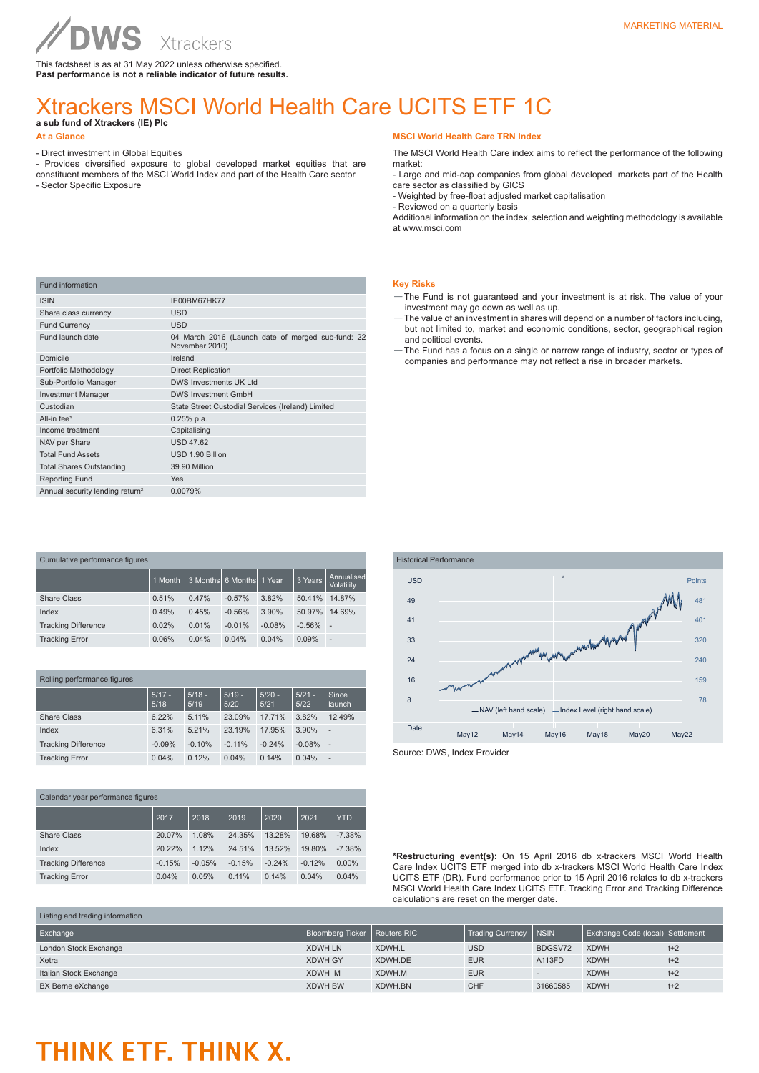This factsheet is as at 31 May 2022 unless otherwise specified. **Past performance is not a reliable indicator of future results.**

# Xtrackers MSCI World Health Care UCITS ETF 1C

**a sub fund of Xtrackers (IE) Plc** 

**WS** 

### **At a Glance**

Fund information

- Direct investment in Global Equities

ISIN IE00BM67HK77

- Provides diversified exposure to global developed market equities that are constituent members of the MSCI World Index and part of the Health Care sector - Sector Specific Exposure
- 

## **MSCI World Health Care TRN Index**

The MSCI World Health Care index aims to reflect the performance of the following market:

- Large and mid-cap companies from global developed markets part of the Health care sector as classified by GICS

- Weighted by free-float adjusted market capitalisation

- Reviewed on a quarterly basis

Additional information on the index, selection and weighting methodology is available at www.msci.com

# **Key Risks**

- —The Fund is not guaranteed and your investment is at risk. The value of your investment may go down as well as up.
- —The value of an investment in shares will depend on a number of factors including, but not limited to, market and economic conditions, sector, geographical region and political events.
- —The Fund has a focus on a single or narrow range of industry, sector or types of companies and performance may not reflect a rise in broader markets.

| Share class currency                        | USD                                                                 |
|---------------------------------------------|---------------------------------------------------------------------|
| <b>Fund Currency</b>                        | <b>USD</b>                                                          |
| Fund launch date                            | 04 March 2016 (Launch date of merged sub-fund: 22<br>November 2010) |
| Domicile                                    | Ireland                                                             |
| Portfolio Methodology                       | <b>Direct Replication</b>                                           |
| Sub-Portfolio Manager                       | DWS Investments UK Ltd                                              |
| <b>Investment Manager</b>                   | <b>DWS Investment GmbH</b>                                          |
| Custodian                                   | State Street Custodial Services (Ireland) Limited                   |
| All-in $fee1$                               | $0.25%$ p.a.                                                        |
| Income treatment                            | Capitalising                                                        |
| NAV per Share                               | <b>USD 47.62</b>                                                    |
| <b>Total Fund Assets</b>                    | USD 1.90 Billion                                                    |
| <b>Total Shares Outstanding</b>             | 39.90 Million                                                       |
| <b>Reporting Fund</b>                       | <b>Yes</b>                                                          |
| Annual security lending return <sup>2</sup> | 0.0079%                                                             |
|                                             |                                                                     |

| Cumulative performance figures |         |          |                 |          |          |                          |
|--------------------------------|---------|----------|-----------------|----------|----------|--------------------------|
|                                | 1 Month | 3 Months | 6 Months 1 Year |          | 3 Years  | Annualised<br>Volatility |
| Share Class                    | 0.51%   | 0.47%    | $-0.57%$        | 3.82%    | 50.41%   | 14.87%                   |
| Index                          | 0.49%   | 0.45%    | $-0.56%$        | 3.90%    | 50.97%   | 14.69%                   |
| <b>Tracking Difference</b>     | 0.02%   | 0.01%    | $-0.01%$        | $-0.08%$ | $-0.56%$ | $\overline{\phantom{a}}$ |
| <b>Tracking Error</b>          | 0.06%   | 0.04%    | 0.04%           | 0.04%    | 0.09%    | $\overline{\phantom{a}}$ |

| Rolling performance figures |  |  |  |
|-----------------------------|--|--|--|
|-----------------------------|--|--|--|

|                            | $5/17 -$<br>5/18 | $5/18 -$<br>5/19 | $5/19 -$<br>5/20 | $5/20 -$<br>5/21 | $5/21 -$<br>5/22 | Since<br>launch |
|----------------------------|------------------|------------------|------------------|------------------|------------------|-----------------|
| Share Class                | 6.22%            | 5.11%            | 23.09%           | 17.71%           | 3.82%            | 12.49%          |
| Index                      | 6.31%            | 5.21%            | 23.19%           | 17.95%           | 3.90%            | -               |
| <b>Tracking Difference</b> | $-0.09%$         | $-0.10%$         | $-0.11%$         | $-0.24%$         | $-0.08%$         | ۰               |
| <b>Tracking Error</b>      | 0.04%            | 0.12%            | 0.04%            | 0.14%            | 0.04%            | -               |

| Calendar year performance figures |          |          |          |          |          |            |
|-----------------------------------|----------|----------|----------|----------|----------|------------|
|                                   | 2017     | 2018     | 2019     | 2020     | 2021     | <b>YTD</b> |
| Share Class                       | 20.07%   | 1.08%    | 24.35%   | 13.28%   | 19.68%   | $-7.38%$   |
| Index                             | 20.22%   | 1.12%    | 24.51%   | 13.52%   | 19.80%   | $-7.38%$   |
| <b>Tracking Difference</b>        | $-0.15%$ | $-0.05%$ | $-0.15%$ | $-0.24%$ | $-0.12%$ | $0.00\%$   |
| <b>Tracking Error</b>             | 0.04%    | 0.05%    | 0.11%    | 0.14%    | 0.04%    | 0.04%      |



**\*Restructuring event(s):** On 15 April 2016 db x-trackers MSCI World Health Care Index UCITS ETF merged into db x-trackers MSCI World Health Care Index UCITS ETF (DR). Fund performance prior to 15 April 2016 relates to db x-trackers MSCI World Health Care Index UCITS ETF. Tracking Error and Tracking Difference calculations are reset on the merger date.

| Listing and trading information |                                |         |                         |              |                                  |       |
|---------------------------------|--------------------------------|---------|-------------------------|--------------|----------------------------------|-------|
| Exchange                        | Bloomberg Ticker   Reuters RIC |         | <b>Trading Currency</b> | <b>INSIN</b> | Exchange Code (local) Settlement |       |
| London Stock Exchange           | <b>XDWH LN</b>                 | XDWH.L  | <b>USD</b>              | BDGSV72      | <b>XDWH</b>                      | $t+2$ |
| Xetra                           | <b>XDWH GY</b>                 | XDWH.DE | <b>EUR</b>              | A113FD       | <b>XDWH</b>                      | $t+2$ |
| Italian Stock Exchange          | <b>XDWH IM</b>                 | XDWH.MI | <b>EUR</b>              |              | <b>XDWH</b>                      | $t+2$ |
| BX Berne eXchange               | <b>XDWH BW</b>                 | XDWH.BN | <b>CHF</b>              | 31660585     | <b>XDWH</b>                      | $t+2$ |

# THINK ETF. THINK X.